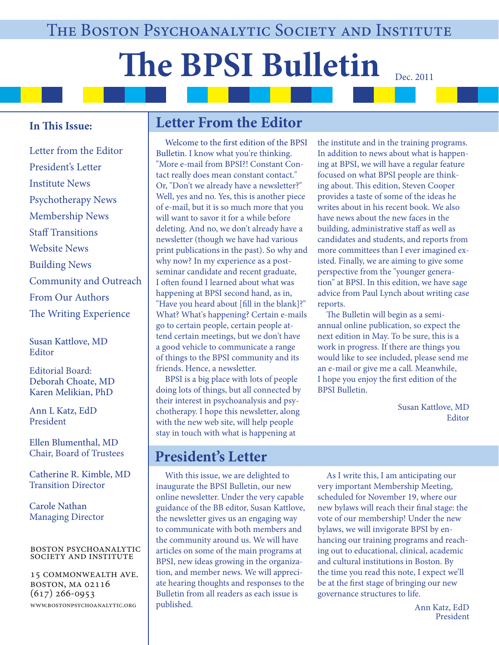# **The BPSI Bulletin** Dec. 2011

### **In This Issue:**

Letter from the Editor President's Letter Institute News Psychotherapy News Membership News Staff Transitions Website News Building News Community and Outreach From Our Authors The Writing Experience

Susan Kattlove, MD **Editor** 

Editorial Board: Deborah Choate, MD Karen Melikian, PhD

Ann L Katz, EdD President

Ellen Blumenthal, MD Chair, Board of Trustees

Catherine R. Kimble, MD Transition Director

Carole Nathan Managing Director

#### boston psychoanalytic society and institute

15 commonwealth ave. boston, ma 02116  $(617)$  266-0953 www.bostonpsychoanalytic.org

# **Letter From the Editor**

Welcome to the first edition of the BPSI Bulletin. I know what you're thinking. "More e-mail from BPSI?! Constant Contact really does mean constant contact." Or, "Don't we already have a newsletter?" Well, yes and no. Yes, this is another piece of e-mail, but it is so much more that you will want to savor it for a while before deleting. And no, we don't already have a newsletter (though we have had various print publications in the past). So why and why now? In my experience as a postseminar candidate and recent graduate, I often found I learned about what was happening at BPSI second hand, as in, "Have you heard about [fill in the blank]?" What? What's happening? Certain e-mails go to certain people, certain people attend certain meetings, but we don't have a good vehicle to communicate a range of things to the BPSI community and its friends. Hence, a newsletter.

 BPSI is a big place with lots of people doing lots of things, but all connected by their interest in psychoanalysis and psychotherapy. I hope this newsletter, along with the new web site, will help people stay in touch with what is happening at

# **President's Letter**

 With this issue, we are delighted to inaugurate the BPSI Bulletin, our new online newsletter. Under the very capable guidance of the BB editor, Susan Kattlove, the newsletter gives us an engaging way to communicate with both members and the community around us. We will have articles on some of the main programs at BPSI, new ideas growing in the organization, and member news. We will appreciate hearing thoughts and responses to the Bulletin from all readers as each issue is published.

the institute and in the training programs. In addition to news about what is happening at BPSI, we will have a regular feature focused on what BPSI people are thinking about. This edition, Steven Cooper provides a taste of some of the ideas he writes about in his recent book. We also have news about the new faces in the building, administrative staff as well as candidates and students, and reports from more committees than I ever imagined existed. Finally, we are aiming to give some perspective from the "younger generation" at BPSI. In this edition, we have sage advice from Paul Lynch about writing case reports.

The Bulletin will begin as a semiannual online publication, so expect the next edition in May. To be sure, this is a work in progress. If there are things you would like to see included, please send me an e-mail or give me a call. Meanwhile, I hope you enjoy the first edition of the BPSI Bulletin.

> Susan Kattlove, MD Editor

 As I write this, I am anticipating our very important Membership Meeting, scheduled for November 19, where our new bylaws will reach their final stage: the vote of our membership! Under the new bylaws, we will invigorate BPSI by enhancing our training programs and reaching out to educational, clinical, academic and cultural institutions in Boston. By the time you read this note, I expect we'll be at the first stage of bringing our new governance structures to life.

> Ann Katz, EdD President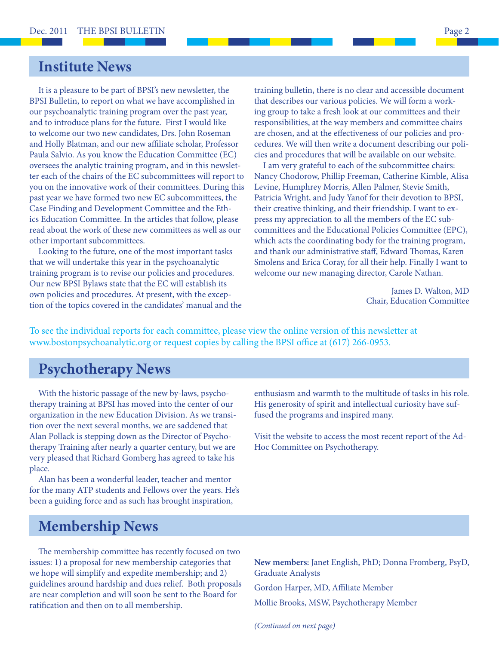## **Institute News**

 It is a pleasure to be part of BPSI's new newsletter, the BPSI Bulletin, to report on what we have accomplished in our psychoanalytic training program over the past year, and to introduce plans for the future. First I would like to welcome our two new candidates, Drs. John Roseman and Holly Blatman, and our new affiliate scholar, Professor Paula Salvio. As you know the Education Committee (EC) oversees the analytic training program, and in this newsletter each of the chairs of the EC subcommittees will report to you on the innovative work of their committees. During this past year we have formed two new EC subcommittees, the Case Finding and Development Committee and the Ethics Education Committee. In the articles that follow, please read about the work of these new committees as well as our other important subcommittees.

 Looking to the future, one of the most important tasks that we will undertake this year in the psychoanalytic training program is to revise our policies and procedures. Our new BPSI Bylaws state that the EC will establish its own policies and procedures. At present, with the exception of the topics covered in the candidates' manual and the

training bulletin, there is no clear and accessible document that describes our various policies. We will form a working group to take a fresh look at our committees and their responsibilities, at the way members and committee chairs are chosen, and at the effectiveness of our policies and procedures. We will then write a document describing our policies and procedures that will be available on our website.

 I am very grateful to each of the subcommittee chairs: Nancy Chodorow, Phillip Freeman, Catherine Kimble, Alisa Levine, Humphrey Morris, Allen Palmer, Stevie Smith, Patricia Wright, and Judy Yanof for their devotion to BPSI, their creative thinking, and their friendship. I want to express my appreciation to all the members of the EC subcommittees and the Educational Policies Committee (EPC), which acts the coordinating body for the training program, and thank our administrative staff, Edward Thomas, Karen Smolens and Erica Coray, for all their help. Finally I want to welcome our new managing director, Carole Nathan.

> James D. Walton, MD Chair, Education Committee

To see the individual reports for each committee, please view the online version of this newsletter at www.bostonpsychoanalytic.org or request copies by calling the BPSI office at (617) 266-0953.

# **Psychotherapy News**

 With the historic passage of the new by-laws, psychotherapy training at BPSI has moved into the center of our organization in the new Education Division. As we transition over the next several months, we are saddened that Alan Pollack is stepping down as the Director of Psychotherapy Training after nearly a quarter century, but we are very pleased that Richard Gomberg has agreed to take his place.

 Alan has been a wonderful leader, teacher and mentor for the many ATP students and Fellows over the years. He's been a guiding force and as such has brought inspiration,

## **Membership News**

The membership committee has recently focused on two issues: 1) a proposal for new membership categories that we hope will simplify and expedite membership; and 2) guidelines around hardship and dues relief. Both proposals are near completion and will soon be sent to the Board for ratification and then on to all membership.

enthusiasm and warmth to the multitude of tasks in his role. His generosity of spirit and intellectual curiosity have suffused the programs and inspired many.

Visit the website to access the most recent report of the Ad-Hoc Committee on Psychotherapy.

**New members:** Janet English, PhD; Donna Fromberg, PsyD, Graduate Analysts

Gordon Harper, MD, Affiliate Member Mollie Brooks, MSW, Psychotherapy Member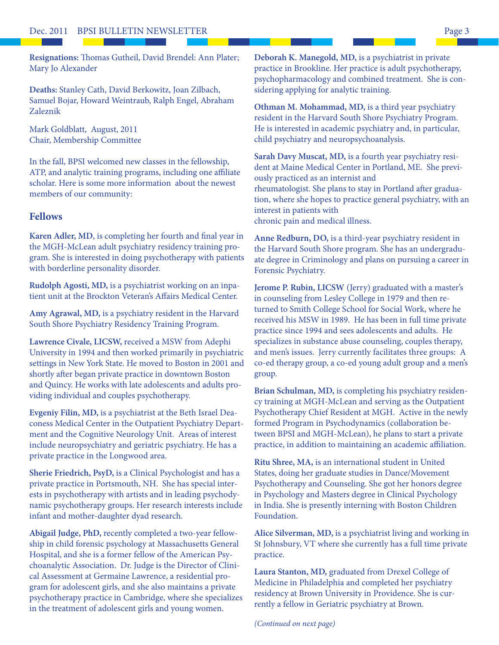Resignations: Thomas Gutheil, David Brendel: Ann Plater; Mary Jo Alexander

**Deaths:** Stanley Cath, David Berkowitz, Joan Zilbach, Samuel Bojar, Howard Weintraub, Ralph Engel, Abraham Zaleznik

Mark Goldblatt, August, 2011 Chair, Membership Committee

In the fall, BPSI welcomed new classes in the fellowship, ATP, and analytic training programs, including one affiliate scholar. Here is some more information about the newest members of our community:

#### **Fellows**

Karen Adler, MD, is completing her fourth and final year in the MGH-McLean adult psychiatry residency training program. She is interested in doing psychotherapy with patients with borderline personality disorder.

**Rudolph Agosti, MD,** is a psychiatrist working on an inpatient unit at the Brockton Veteran's Affairs Medical Center.

**Amy Agrawal, MD,** is a psychiatry resident in the Harvard South Shore Psychiatry Residency Training Program.

**Lawrence Civale, LICSW,** received a MSW from Adephi University in 1994 and then worked primarily in psychiatric settings in New York State. He moved to Boston in 2001 and shortly after began private practice in downtown Boston and Quincy. He works with late adolescents and adults providing individual and couples psychotherapy.

**Evgeniy Filin, MD,** is a psychiatrist at the Beth Israel Deaconess Medical Center in the Outpatient Psychiatry Department and the Cognitive Neurology Unit. Areas of interest include neuropsychiatry and geriatric psychiatry. He has a private practice in the Longwood area.

**Sherie Friedrich, PsyD,** is a Clinical Psychologist and has a private practice in Portsmouth, NH. She has special interests in psychotherapy with artists and in leading psychodynamic psychotherapy groups. Her research interests include infant and mother-daughter dyad research.

**Abigail Judge, PhD,** recently completed a two-year fellowship in child forensic psychology at Massachusetts General Hospital, and she is a former fellow of the American Psychoanalytic Association. Dr. Judge is the Director of Clinical Assessment at Germaine Lawrence, a residential program for adolescent girls, and she also maintains a private psychotherapy practice in Cambridge, where she specializes in the treatment of adolescent girls and young women.

**Deborah K. Manegold, MD,** is a psychiatrist in private practice in Brookline. Her practice is adult psychotherapy, psychopharmacology and combined treatment. She is considering applying for analytic training.

**Othman M. Mohammad, MD,** is a third year psychiatry resident in the Harvard South Shore Psychiatry Program. He is interested in academic psychiatry and, in particular, child psychiatry and neuropsychoanalysis.

**Sarah Davy Muscat, MD,** is a fourth year psychiatry resident at Maine Medical Center in Portland, ME. She previously practiced as an internist and rheumatologist. She plans to stay in Portland after graduation, where she hopes to practice general psychiatry, with an interest in patients with chronic pain and medical illness.

**Anne Redburn, DO,** is a third-year psychiatry resident in the Harvard South Shore program. She has an undergraduate degree in Criminology and plans on pursuing a career in Forensic Psychiatry.

**Jerome P. Rubin, LICSW** (Jerry) graduated with a master's in counseling from Lesley College in 1979 and then returned to Smith College School for Social Work, where he received his MSW in 1989. He has been in full time private practice since 1994 and sees adolescents and adults. He specializes in substance abuse counseling, couples therapy, and men's issues. Jerry currently facilitates three groups: A co-ed therapy group, a co-ed young adult group and a men's group.

**Brian Schulman, MD,** is completing his psychiatry residency training at MGH-McLean and serving as the Outpatient Psychotherapy Chief Resident at MGH. Active in the newly formed Program in Psychodynamics (collaboration between BPSI and MGH-McLean), he plans to start a private practice, in addition to maintaining an academic affiliation.

**Ritu Shree, MA,** is an international student in United States, doing her graduate studies in Dance/Movement Psychotherapy and Counseling. She got her honors degree in Psychology and Masters degree in Clinical Psychology in India. She is presently interning with Boston Children Foundation.

**Alice Silverman, MD,** is a psychiatrist living and working in St Johnsbury, VT where she currently has a full time private practice.

**Laura Stanton, MD,** graduated from Drexel College of Medicine in Philadelphia and completed her psychiatry residency at Brown University in Providence. She is currently a fellow in Geriatric psychiatry at Brown.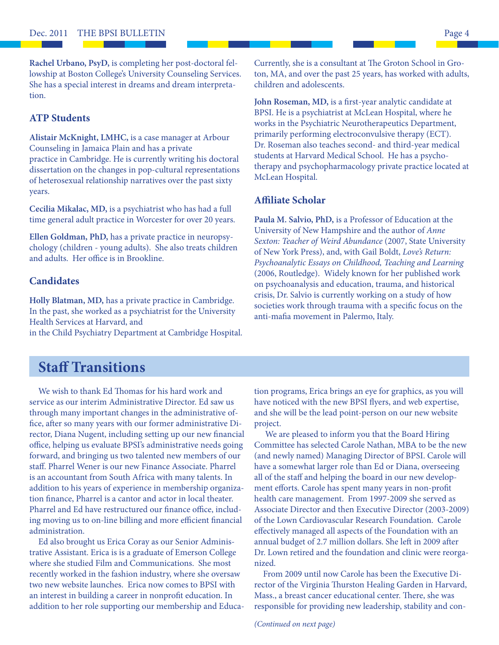**Rachel Urbano, PsyD,** is completing her post-doctoral fellowship at Boston College's University Counseling Services. She has a special interest in dreams and dream interpretation.

#### **ATP Students**

**Alistair McKnight, LMHC,** is a case manager at Arbour Counseling in Jamaica Plain and has a private practice in Cambridge. He is currently writing his doctoral dissertation on the changes in pop-cultural representations of heterosexual relationship narratives over the past sixty years.

**Cecilia Mikalac, MD,** is a psychiatrist who has had a full time general adult practice in Worcester for over 20 years.

**Ellen Goldman, PhD,** has a private practice in neuropsychology (children - young adults). She also treats children and adults. Her office is in Brookline.

#### **Candidates**

**Holly Blatman, MD,** has a private practice in Cambridge. In the past, she worked as a psychiatrist for the University Health Services at Harvard, and in the Child Psychiatry Department at Cambridge Hospital. Currently, she is a consultant at The Groton School in Groton, MA, and over the past 25 years, has worked with adults, children and adolescents.

John Roseman, MD, is a first-year analytic candidate at BPSI. He is a psychiatrist at McLean Hospital, where he works in the Psychiatric Neurotherapeutics Department, primarily performing electroconvulsive therapy (ECT). Dr. Roseman also teaches second- and third-year medical students at Harvard Medical School. He has a psychotherapy and psychopharmacology private practice located at McLean Hospital.

#### **Affi liate Scholar**

**Paula M. Salvio, PhD,** is a Professor of Education at the University of New Hampshire and the author of *Anne Sexton: Teacher of Weird Abundance* (2007, State University of New York Press), and, with Gail Boldt, *Love's Return: Psychoanalytic Essays on Childhood, Teaching and Learning* (2006, Routledge). Widely known for her published work on psychoanalysis and education, trauma, and historical crisis, Dr. Salvio is currently working on a study of how societies work through trauma with a specific focus on the anti-mafia movement in Palermo, Italy.

# **Staff Transitions**

We wish to thank Ed Thomas for his hard work and service as our interim Administrative Director. Ed saw us through many important changes in the administrative office, after so many years with our former administrative Director, Diana Nugent, including setting up our new financial office, helping us evaluate BPSI's administrative needs going forward, and bringing us two talented new members of our staff. Pharrel Wener is our new Finance Associate. Pharrel is an accountant from South Africa with many talents. In addition to his years of experience in membership organization finance, Pharrel is a cantor and actor in local theater. Pharrel and Ed have restructured our finance office, including moving us to on-line billing and more efficient financial administration.

 Ed also brought us Erica Coray as our Senior Administrative Assistant. Erica is is a graduate of Emerson College where she studied Film and Communications. She most recently worked in the fashion industry, where she oversaw two new website launches. Erica now comes to BPSI with an interest in building a career in nonprofit education. In addition to her role supporting our membership and Educa-

tion programs, Erica brings an eye for graphics, as you will have noticed with the new BPSI flyers, and web expertise, and she will be the lead point-person on our new website project.

 We are pleased to inform you that the Board Hiring Committee has selected Carole Nathan, MBA to be the new (and newly named) Managing Director of BPSI. Carole will have a somewhat larger role than Ed or Diana, overseeing all of the staff and helping the board in our new development efforts. Carole has spent many years in non-profit health care management. From 1997-2009 she served as Associate Director and then Executive Director (2003-2009) of the Lown Cardiovascular Research Foundation. Carole effectively managed all aspects of the Foundation with an annual budget of 2.7 million dollars. She left in 2009 after Dr. Lown retired and the foundation and clinic were reorganized.

 From 2009 until now Carole has been the Executive Director of the Virginia Thurston Healing Garden in Harvard, Mass., a breast cancer educational center. There, she was responsible for providing new leadership, stability and con-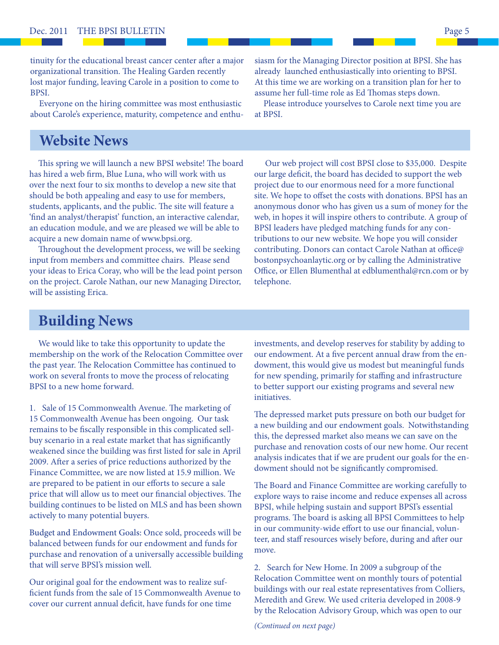tinuity for the educational breast cancer center after a major organizational transition. The Healing Garden recently lost major funding, leaving Carole in a position to come to BPSI.

 Everyone on the hiring committee was most enthusiastic about Carole's experience, maturity, competence and enthu-

## **Website News**

This spring we will launch a new BPSI website! The board has hired a web firm, Blue Luna, who will work with us over the next four to six months to develop a new site that should be both appealing and easy to use for members, students, applicants, and the public. The site will feature a 'find an analyst/therapist' function, an interactive calendar, an education module, and we are pleased we will be able to acquire a new domain name of www.bpsi.org.

Throughout the development process, we will be seeking input from members and committee chairs. Please send your ideas to Erica Coray, who will be the lead point person on the project. Carole Nathan, our new Managing Director, will be assisting Erica.

siasm for the Managing Director position at BPSI. She has already launched enthusiastically into orienting to BPSI. At this time we are working on a transition plan for her to assume her full-time role as Ed Thomas steps down.

 Please introduce yourselves to Carole next time you are at BPSI.

 Our web project will cost BPSI close to \$35,000. Despite our large deficit, the board has decided to support the web project due to our enormous need for a more functional site. We hope to offset the costs with donations. BPSI has an anonymous donor who has given us a sum of money for the web, in hopes it will inspire others to contribute. A group of BPSI leaders have pledged matching funds for any contributions to our new website. We hope you will consider contributing. Donors can contact Carole Nathan at office@ bostonpsychoanlaytic.org or by calling the Administrative Office, or Ellen Blumenthal at edblumenthal@rcn.com or by telephone.

# **Building News**

 We would like to take this opportunity to update the membership on the work of the Relocation Committee over the past year. The Relocation Committee has continued to work on several fronts to move the process of relocating BPSI to a new home forward.

1. Sale of 15 Commonwealth Avenue. The marketing of 15 Commonwealth Avenue has been ongoing. Our task remains to be fiscally responsible in this complicated sellbuy scenario in a real estate market that has significantly weakened since the building was first listed for sale in April 2009. After a series of price reductions authorized by the Finance Committee, we are now listed at 15.9 million. We are prepared to be patient in our efforts to secure a sale price that will allow us to meet our financial objectives. The building continues to be listed on MLS and has been shown actively to many potential buyers.

Budget and Endowment Goals: Once sold, proceeds will be balanced between funds for our endowment and funds for purchase and renovation of a universally accessible building that will serve BPSI's mission well.

Our original goal for the endowment was to realize sufficient funds from the sale of 15 Commonwealth Avenue to cover our current annual deficit, have funds for one time

investments, and develop reserves for stability by adding to our endowment. At a five percent annual draw from the endowment, this would give us modest but meaningful funds for new spending, primarily for staffing and infrastructure to better support our existing programs and several new initiatives.

The depressed market puts pressure on both our budget for a new building and our endowment goals. Notwithstanding this, the depressed market also means we can save on the purchase and renovation costs of our new home. Our recent analysis indicates that if we are prudent our goals for the endowment should not be significantly compromised.

The Board and Finance Committee are working carefully to explore ways to raise income and reduce expenses all across BPSI, while helping sustain and support BPSI's essential programs. The board is asking all BPSI Committees to help in our community-wide effort to use our financial, volunteer, and staff resources wisely before, during and after our move.

2. Search for New Home. In 2009 a subgroup of the Relocation Committee went on monthly tours of potential buildings with our real estate representatives from Colliers, Meredith and Grew. We used criteria developed in 2008-9 by the Relocation Advisory Group, which was open to our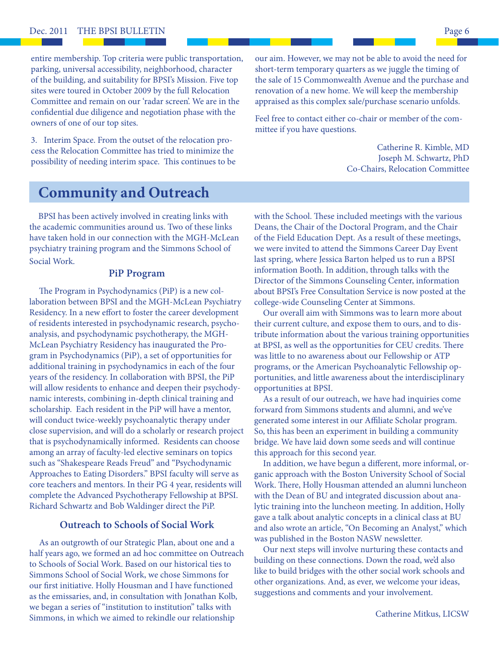entire membership. Top criteria were public transportation, parking, universal accessibility, neighborhood, character of the building, and suitability for BPSI's Mission. Five top sites were toured in October 2009 by the full Relocation Committee and remain on our 'radar screen'. We are in the confidential due diligence and negotiation phase with the owners of one of our top sites.

3. Interim Space. From the outset of the relocation process the Relocation Committee has tried to minimize the possibility of needing interim space. This continues to be our aim. However, we may not be able to avoid the need for short-term temporary quarters as we juggle the timing of the sale of 15 Commonwealth Avenue and the purchase and renovation of a new home. We will keep the membership appraised as this complex sale/purchase scenario unfolds.

Feel free to contact either co-chair or member of the committee if you have questions.

> Catherine R. Kimble, MD Joseph M. Schwartz, PhD Co-Chairs, Relocation Committee

## **Community and Outreach**

 BPSI has been actively involved in creating links with the academic communities around us. Two of these links have taken hold in our connection with the MGH-McLean psychiatry training program and the Simmons School of Social Work.

#### **PiP Program**

The Program in Psychodynamics (PiP) is a new collaboration between BPSI and the MGH-McLean Psychiatry Residency. In a new effort to foster the career development of residents interested in psychodynamic research, psychoanalysis, and psychodynamic psychotherapy, the MGH-McLean Psychiatry Residency has inaugurated the Program in Psychodynamics (PiP), a set of opportunities for additional training in psychodynamics in each of the four years of the residency. In collaboration with BPSI, the PiP will allow residents to enhance and deepen their psychodynamic interests, combining in-depth clinical training and scholarship. Each resident in the PiP will have a mentor, will conduct twice-weekly psychoanalytic therapy under close supervision, and will do a scholarly or research project that is psychodynamically informed. Residents can choose among an array of faculty-led elective seminars on topics such as "Shakespeare Reads Freud" and "Psychodynamic Approaches to Eating Disorders." BPSI faculty will serve as core teachers and mentors. In their PG 4 year, residents will complete the Advanced Psychotherapy Fellowship at BPSI. Richard Schwartz and Bob Waldinger direct the PiP.

#### **Outreach to Schools of Social Work**

As an outgrowth of our Strategic Plan, about one and a half years ago, we formed an ad hoc committee on Outreach to Schools of Social Work. Based on our historical ties to Simmons School of Social Work, we chose Simmons for our first initiative. Holly Housman and I have functioned as the emissaries, and, in consultation with Jonathan Kolb, we began a series of "institution to institution" talks with Simmons, in which we aimed to rekindle our relationship

with the School. These included meetings with the various Deans, the Chair of the Doctoral Program, and the Chair of the Field Education Dept. As a result of these meetings, we were invited to attend the Simmons Career Day Event last spring, where Jessica Barton helped us to run a BPSI information Booth. In addition, through talks with the Director of the Simmons Counseling Center, information about BPSI's Free Consultation Service is now posted at the college-wide Counseling Center at Simmons.

 Our overall aim with Simmons was to learn more about their current culture, and expose them to ours, and to distribute information about the various training opportunities at BPSI, as well as the opportunities for CEU credits. There was little to no awareness about our Fellowship or ATP programs, or the American Psychoanalytic Fellowship opportunities, and little awareness about the interdisciplinary opportunities at BPSI.

 As a result of our outreach, we have had inquiries come forward from Simmons students and alumni, and we've generated some interest in our Affiliate Scholar program. So, this has been an experiment in building a community bridge. We have laid down some seeds and will continue this approach for this second year.

In addition, we have begun a different, more informal, organic approach with the Boston University School of Social Work. There, Holly Housman attended an alumni luncheon with the Dean of BU and integrated discussion about analytic training into the luncheon meeting. In addition, Holly gave a talk about analytic concepts in a clinical class at BU and also wrote an article, "On Becoming an Analyst," which was published in the Boston NASW newsletter.

 Our next steps will involve nurturing these contacts and building on these connections. Down the road, we'd also like to build bridges with the other social work schools and other organizations. And, as ever, we welcome your ideas, suggestions and comments and your involvement.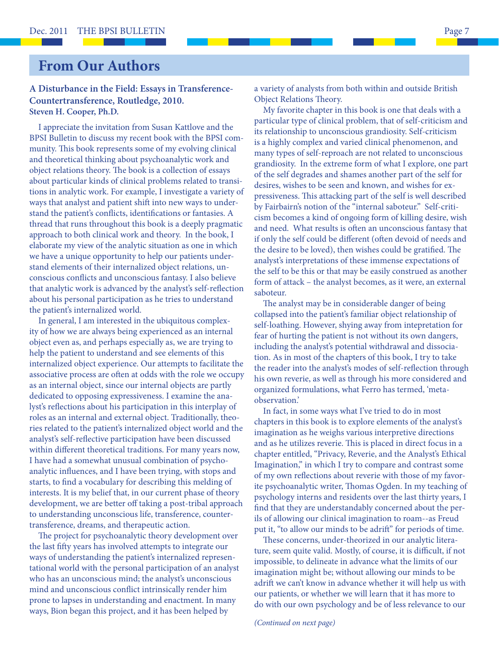## **From Our Authors**

#### **A Disturbance in the Field: Essays in Transference-Countertransference, Routledge, 2010. Steven H. Cooper, Ph.D.**

I appreciate the invitation from Susan Kattlove and the BPSI Bulletin to discuss my recent book with the BPSI community. This book represents some of my evolving clinical and theoretical thinking about psychoanalytic work and object relations theory. The book is a collection of essays about particular kinds of clinical problems related to transitions in analytic work. For example, I investigate a variety of ways that analyst and patient shift into new ways to understand the patient's conflicts, identifications or fantasies. A thread that runs throughout this book is a deeply pragmatic approach to both clinical work and theory. In the book, I elaborate my view of the analytic situation as one in which we have a unique opportunity to help our patients understand elements of their internalized object relations, unconscious conflicts and unconscious fantasy. I also believe that analytic work is advanced by the analyst's self-reflection about his personal participation as he tries to understand the patient's internalized world.

 In general, I am interested in the ubiquitous complexity of how we are always being experienced as an internal object even as, and perhaps especially as, we are trying to help the patient to understand and see elements of this internalized object experience. Our attempts to facilitate the associative process are often at odds with the role we occupy as an internal object, since our internal objects are partly dedicated to opposing expressiveness. I examine the analyst's reflections about his participation in this interplay of roles as an internal and external object. Traditionally, theories related to the patient's internalized object world and the analyst's self-reflective participation have been discussed within different theoretical traditions. For many years now, I have had a somewhat unusual combination of psychoanalytic influences, and I have been trying, with stops and starts, to find a vocabulary for describing this melding of interests. It is my belief that, in our current phase of theory development, we are better off taking a post-tribal approach to understanding unconscious life, transference, countertransference, dreams, and therapeutic action.

The project for psychoanalytic theory development over the last fifty years has involved attempts to integrate our ways of understanding the patient's internalized representational world with the personal participation of an analyst who has an unconscious mind; the analyst's unconscious mind and unconscious conflict intrinsically render him prone to lapses in understanding and enactment. In many ways, Bion began this project, and it has been helped by

a variety of analysts from both within and outside British Object Relations Theory.

 My favorite chapter in this book is one that deals with a particular type of clinical problem, that of self-criticism and its relationship to unconscious grandiosity. Self-criticism is a highly complex and varied clinical phenomenon, and many types of self-reproach are not related to unconscious grandiosity. In the extreme form of what I explore, one part of the self degrades and shames another part of the self for desires, wishes to be seen and known, and wishes for expressiveness. This attacking part of the self is well described by Fairbairn's notion of the "internal saboteur." Self-criticism becomes a kind of ongoing form of killing desire, wish and need. What results is often an unconscious fantasy that if only the self could be different (often devoid of needs and the desire to be loved), then wishes could be gratified. The analyst's interpretations of these immense expectations of the self to be this or that may be easily construed as another form of attack – the analyst becomes, as it were, an external saboteur.

The analyst may be in considerable danger of being collapsed into the patient's familiar object relationship of self-loathing. However, shying away from intepretation for fear of hurting the patient is not without its own dangers, including the analyst's potential withdrawal and dissociation. As in most of the chapters of this book, I try to take the reader into the analyst's modes of self-reflection through his own reverie, as well as through his more considered and organized formulations, what Ferro has termed, 'metaobservation.'

 In fact, in some ways what I've tried to do in most chapters in this book is to explore elements of the analyst's imagination as he weighs various interpretive directions and as he utilizes reverie. This is placed in direct focus in a chapter entitled, "Privacy, Reverie, and the Analyst's Ethical Imagination," in which I try to compare and contrast some of my own reflections about reverie with those of my favorite psychoanalytic writer, Thomas Ogden. In my teaching of psychology interns and residents over the last thirty years, I find that they are understandably concerned about the perils of allowing our clinical imagination to roam--as Freud put it, "to allow our minds to be adrift" for periods of time.

These concerns, under-theorized in our analytic literature, seem quite valid. Mostly, of course, it is difficult, if not impossible, to delineate in advance what the limits of our imagination might be; without allowing our minds to be adrift we can't know in advance whether it will help us with our patients, or whether we will learn that it has more to do with our own psychology and be of less relevance to our